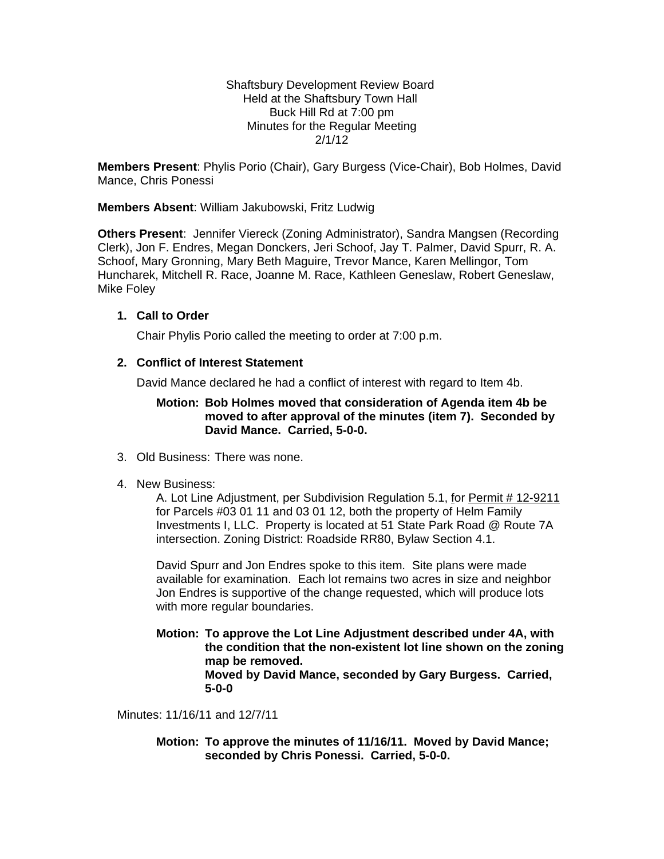Shaftsbury Development Review Board Held at the Shaftsbury Town Hall Buck Hill Rd at 7:00 pm Minutes for the Regular Meeting 2/1/12

**Members Present**: Phylis Porio (Chair), Gary Burgess (Vice-Chair), Bob Holmes, David Mance, Chris Ponessi

**Members Absent**: William Jakubowski, Fritz Ludwig

**Others Present**: Jennifer Viereck (Zoning Administrator), Sandra Mangsen (Recording Clerk), Jon F. Endres, Megan Donckers, Jeri Schoof, Jay T. Palmer, David Spurr, R. A. Schoof, Mary Gronning, Mary Beth Maguire, Trevor Mance, Karen Mellingor, Tom Huncharek, Mitchell R. Race, Joanne M. Race, Kathleen Geneslaw, Robert Geneslaw, Mike Foley

#### **1. Call to Order**

Chair Phylis Porio called the meeting to order at 7:00 p.m.

#### **2. Conflict of Interest Statement**

David Mance declared he had a conflict of interest with regard to Item 4b.

## **Motion: Bob Holmes moved that consideration of Agenda item 4b be moved to after approval of the minutes (item 7). Seconded by David Mance. Carried, 5-0-0.**

- 3. Old Business: There was none.
- 4. New Business:

A. Lot Line Adjustment, per Subdivision Regulation 5.1, for Permit # 12-9211 for Parcels #03 01 11 and 03 01 12, both the property of Helm Family Investments I, LLC. Property is located at 51 State Park Road @ Route 7A intersection. Zoning District: Roadside RR80, Bylaw Section 4.1.

David Spurr and Jon Endres spoke to this item. Site plans were made available for examination. Each lot remains two acres in size and neighbor Jon Endres is supportive of the change requested, which will produce lots with more regular boundaries.

**Motion: To approve the Lot Line Adjustment described under 4A, with the condition that the non-existent lot line shown on the zoning map be removed. Moved by David Mance, seconded by Gary Burgess. Carried, 5-0-0**

Minutes: 11/16/11 and 12/7/11

**Motion: To approve the minutes of 11/16/11. Moved by David Mance; seconded by Chris Ponessi. Carried, 5-0-0.**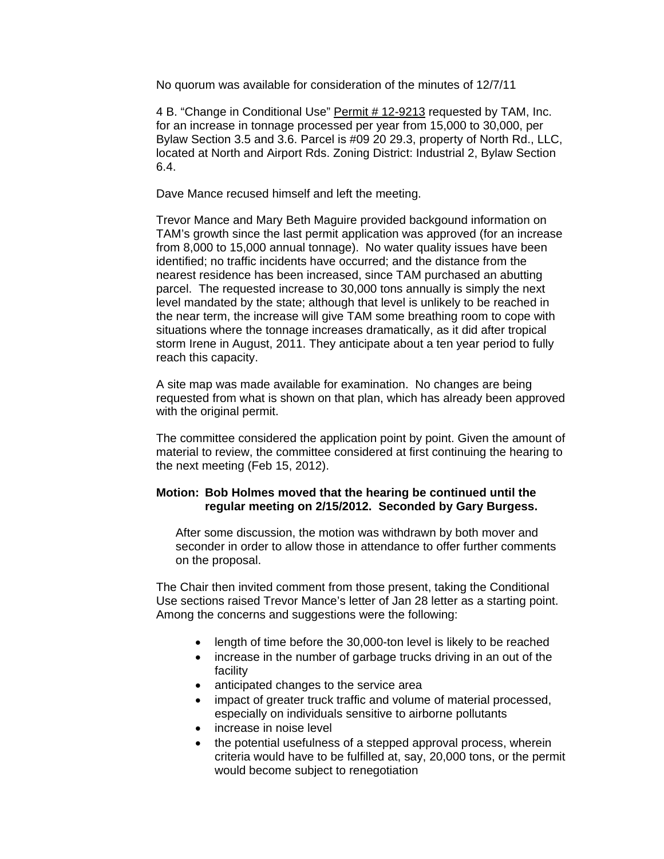No quorum was available for consideration of the minutes of 12/7/11

4 B. "Change in Conditional Use" Permit # 12-9213 requested by TAM, Inc. for an increase in tonnage processed per year from 15,000 to 30,000, per Bylaw Section 3.5 and 3.6. Parcel is #09 20 29.3, property of North Rd., LLC, located at North and Airport Rds. Zoning District: Industrial 2, Bylaw Section 6.4.

Dave Mance recused himself and left the meeting.

Trevor Mance and Mary Beth Maguire provided backgound information on TAM's growth since the last permit application was approved (for an increase from 8,000 to 15,000 annual tonnage). No water quality issues have been identified; no traffic incidents have occurred; and the distance from the nearest residence has been increased, since TAM purchased an abutting parcel. The requested increase to 30,000 tons annually is simply the next level mandated by the state; although that level is unlikely to be reached in the near term, the increase will give TAM some breathing room to cope with situations where the tonnage increases dramatically, as it did after tropical storm Irene in August, 2011. They anticipate about a ten year period to fully reach this capacity.

A site map was made available for examination. No changes are being requested from what is shown on that plan, which has already been approved with the original permit.

The committee considered the application point by point. Given the amount of material to review, the committee considered at first continuing the hearing to the next meeting (Feb 15, 2012).

## **Motion: Bob Holmes moved that the hearing be continued until the regular meeting on 2/15/2012. Seconded by Gary Burgess.**

After some discussion, the motion was withdrawn by both mover and seconder in order to allow those in attendance to offer further comments on the proposal.

The Chair then invited comment from those present, taking the Conditional Use sections raised Trevor Mance's letter of Jan 28 letter as a starting point. Among the concerns and suggestions were the following:

- length of time before the 30,000-ton level is likely to be reached
- increase in the number of garbage trucks driving in an out of the facility
- anticipated changes to the service area
- impact of greater truck traffic and volume of material processed, especially on individuals sensitive to airborne pollutants
- increase in noise level
- the potential usefulness of a stepped approval process, wherein criteria would have to be fulfilled at, say, 20,000 tons, or the permit would become subject to renegotiation